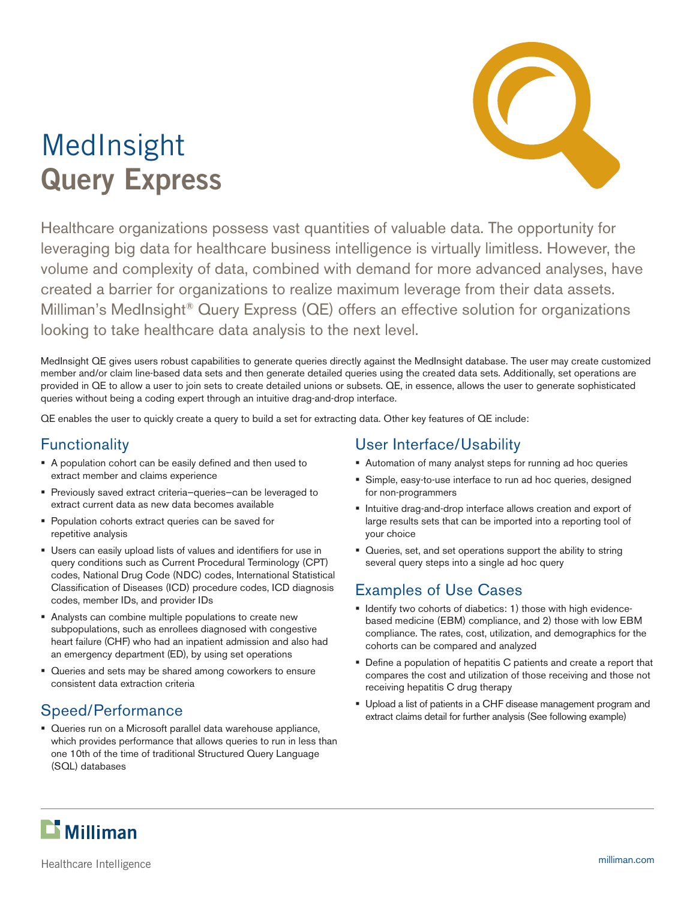# MedInsight **Query Express**



Healthcare organizations possess vast quantities of valuable data. The opportunity for leveraging big data for healthcare business intelligence is virtually limitless. However, the volume and complexity of data, combined with demand for more advanced analyses, have created a barrier for organizations to realize maximum leverage from their data assets. Milliman's MedInsight® Query Express (QE) offers an effective solution for organizations looking to take healthcare data analysis to the next level.

MedInsight QE gives users robust capabilities to generate queries directly against the MedInsight database. The user may create customized member and/or claim line-based data sets and then generate detailed queries using the created data sets. Additionally, set operations are provided in QE to allow a user to join sets to create detailed unions or subsets. QE, in essence, allows the user to generate sophisticated queries without being a coding expert through an intuitive drag-and-drop interface.

QE enables the user to quickly create a query to build a set for extracting data. Other key features of QE include:

# **Functionality**

- A population cohort can be easily defined and then used to extract member and claims experience
- Previously saved extract criteria—queries—can be leveraged to extract current data as new data becomes available
- **Population cohorts extract queries can be saved for** repetitive analysis
- Users can easily upload lists of values and identifiers for use in query conditions such as Current Procedural Terminology (CPT) codes, National Drug Code (NDC) codes, International Statistical Classification of Diseases (ICD) procedure codes, ICD diagnosis codes, member IDs, and provider IDs
- Analysts can combine multiple populations to create new subpopulations, such as enrollees diagnosed with congestive heart failure (CHF) who had an inpatient admission and also had an emergency department (ED), by using set operations
- Queries and sets may be shared among coworkers to ensure consistent data extraction criteria

# Speed/Performance

 Queries run on a Microsoft parallel data warehouse appliance, which provides performance that allows queries to run in less than one 10th of the time of traditional Structured Query Language (SQL) databases

#### User Interface/Usability

- Automation of many analyst steps for running ad hoc queries
- Simple, easy-to-use interface to run ad hoc queries, designed for non-programmers
- **Intuitive drag-and-drop interface allows creation and export of** large results sets that can be imported into a reporting tool of your choice
- Queries, set, and set operations support the ability to string several query steps into a single ad hoc query

# Examples of Use Cases

- **IDENTIFY THEORY CONS I** dentify two cohorts of diabetics: 1) those with high evidencebased medicine (EBM) compliance, and 2) those with low EBM compliance. The rates, cost, utilization, and demographics for the cohorts can be compared and analyzed
- Define a population of hepatitis C patients and create a report that compares the cost and utilization of those receiving and those not receiving hepatitis C drug therapy
- Upload a list of patients in a CHF disease management program and extract claims detail for further analysis (See following example)